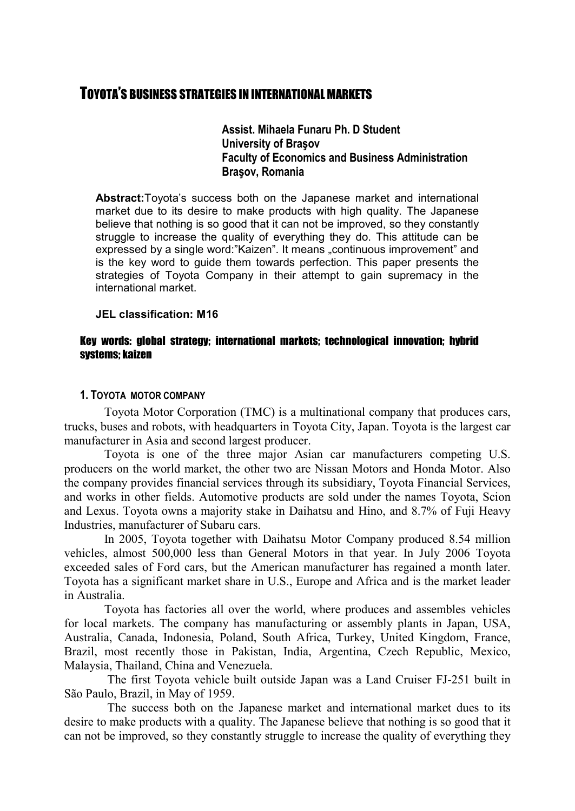# TOYOTA'S BUSINESS STRATEGIES IN INTERNATIONAL MARKETS

**Assist. Mihaela Funaru Ph. D Student University of Braşov Faculty of Economics and Business Administration Braşov, Romania**

**Abstract:**Toyota's success both on the Japanese market and international market due to its desire to make products with high quality. The Japanese believe that nothing is so good that it can not be improved, so they constantly struggle to increase the quality of everything they do. This attitude can be expressed by a single word:"Kaizen". It means "continuous improvement" and is the key word to guide them towards perfection. This paper presents the strategies of Toyota Company in their attempt to gain supremacy in the international market.

### **JEL classification: M16**

### Key words: global strategy; international markets; technological innovation; hybrid systems; kaizen

### **1. TOYOTA MOTOR COMPANY**

Toyota Motor Corporation (TMC) is a multinational company that produces cars, trucks, buses and robots, with headquarters in Toyota City, Japan. Toyota is the largest car manufacturer in Asia and second largest producer.

Toyota is one of the three major Asian car manufacturers competing U.S. producers on the world market, the other two are Nissan Motors and Honda Motor. Also the company provides financial services through its subsidiary, Toyota Financial Services, and works in other fields. Automotive products are sold under the names Toyota, Scion and Lexus. Toyota owns a majority stake in Daihatsu and Hino, and 8.7% of Fuji Heavy Industries, manufacturer of Subaru cars.

In 2005, Toyota together with Daihatsu Motor Company produced 8.54 million vehicles, almost 500,000 less than General Motors in that year. In July 2006 Toyota exceeded sales of Ford cars, but the American manufacturer has regained a month later. Toyota has a significant market share in U.S., Europe and Africa and is the market leader in Australia.

Toyota has factories all over the world, where produces and assembles vehicles for local markets. The company has manufacturing or assembly plants in Japan, USA, Australia, Canada, Indonesia, Poland, South Africa, Turkey, United Kingdom, France, Brazil, most recently those in Pakistan, India, Argentina, Czech Republic, Mexico, Malaysia, Thailand, China and Venezuela.

 The first Toyota vehicle built outside Japan was a Land Cruiser FJ-251 built in São Paulo, Brazil, in May of 1959.

 The success both on the Japanese market and international market dues to its desire to make products with a quality. The Japanese believe that nothing is so good that it can not be improved, so they constantly struggle to increase the quality of everything they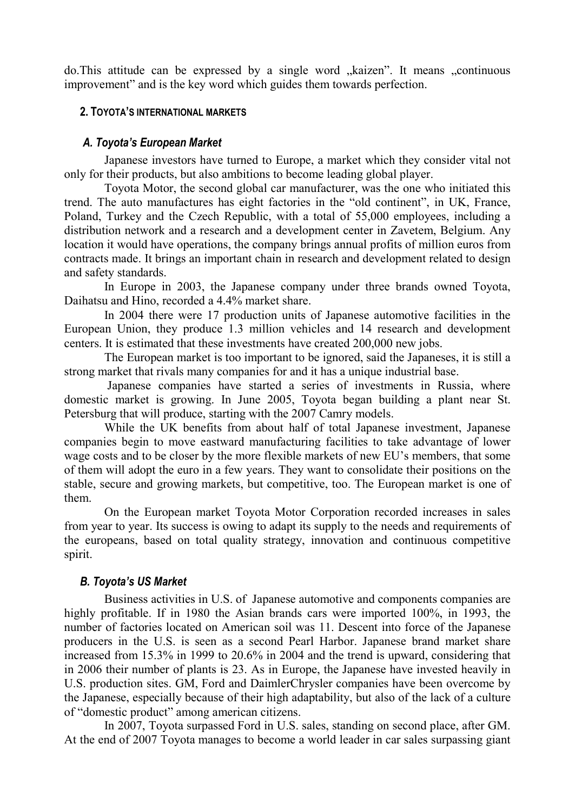do.This attitude can be expressed by a single word "kaizen". It means "continuous improvement" and is the key word which guides them towards perfection.

## **2. TOYOTA'S INTERNATIONAL MARKETS**

# *A. Toyota's European Market*

Japanese investors have turned to Europe, a market which they consider vital not only for their products, but also ambitions to become leading global player.

Toyota Motor, the second global car manufacturer, was the one who initiated this trend. The auto manufactures has eight factories in the "old continent", in UK, France, Poland, Turkey and the Czech Republic, with a total of 55,000 employees, including a distribution network and a research and a development center in Zavetem, Belgium. Any location it would have operations, the company brings annual profits of million euros from contracts made. It brings an important chain in research and development related to design and safety standards.

In Europe in 2003, the Japanese company under three brands owned Toyota, Daihatsu and Hino, recorded a 4.4% market share.

In 2004 there were 17 production units of Japanese automotive facilities in the European Union, they produce 1.3 million vehicles and 14 research and development centers. It is estimated that these investments have created 200,000 new jobs.

The European market is too important to be ignored, said the Japaneses, it is still a strong market that rivals many companies for and it has a unique industrial base.

 Japanese companies have started a series of investments in Russia, where domestic market is growing. In June 2005, Toyota began building a plant near St. Petersburg that will produce, starting with the 2007 Camry models.

While the UK benefits from about half of total Japanese investment, Japanese companies begin to move eastward manufacturing facilities to take advantage of lower wage costs and to be closer by the more flexible markets of new EU's members, that some of them will adopt the euro in a few years. They want to consolidate their positions on the stable, secure and growing markets, but competitive, too. The European market is one of them.

On the European market Toyota Motor Corporation recorded increases in sales from year to year. Its success is owing to adapt its supply to the needs and requirements of the europeans, based on total quality strategy, innovation and continuous competitive spirit.

# *B. Toyota's US Market*

Business activities in U.S. of Japanese automotive and components companies are highly profitable. If in 1980 the Asian brands cars were imported 100%, in 1993, the number of factories located on American soil was 11. Descent into force of the Japanese producers in the U.S. is seen as a second Pearl Harbor. Japanese brand market share increased from 15.3% in 1999 to 20.6% in 2004 and the trend is upward, considering that in 2006 their number of plants is 23. As in Europe, the Japanese have invested heavily in U.S. production sites. GM, Ford and DaimlerChrysler companies have been overcome by the Japanese, especially because of their high adaptability, but also of the lack of a culture of "domestic product" among american citizens.

In 2007, Toyota surpassed Ford in U.S. sales, standing on second place, after GM. At the end of 2007 Toyota manages to become a world leader in car sales surpassing giant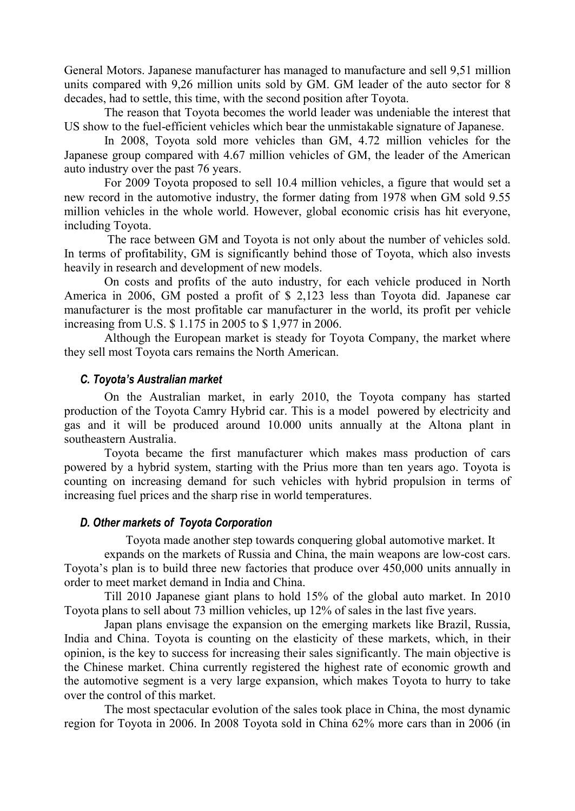General Motors. Japanese manufacturer has managed to manufacture and sell 9,51 million units compared with 9,26 million units sold by GM. GM leader of the auto sector for 8 decades, had to settle, this time, with the second position after Toyota.

The reason that Toyota becomes the world leader was undeniable the interest that US show to the fuel-efficient vehicles which bear the unmistakable signature of Japanese.

In 2008, Toyota sold more vehicles than GM, 4.72 million vehicles for the Japanese group compared with 4.67 million vehicles of GM, the leader of the American auto industry over the past 76 years.

For 2009 Toyota proposed to sell 10.4 million vehicles, a figure that would set a new record in the automotive industry, the former dating from 1978 when GM sold 9.55 million vehicles in the whole world. However, global economic crisis has hit everyone, including Toyota.

 The race between GM and Toyota is not only about the number of vehicles sold. In terms of profitability, GM is significantly behind those of Toyota, which also invests heavily in research and development of new models.

On costs and profits of the auto industry, for each vehicle produced in North America in 2006, GM posted a profit of \$ 2,123 less than Toyota did. Japanese car manufacturer is the most profitable car manufacturer in the world, its profit per vehicle increasing from U.S. \$ 1.175 in 2005 to \$ 1,977 in 2006.

Although the European market is steady for Toyota Company, the market where they sell most Toyota cars remains the North American.

## *C. Toyota's Australian market*

On the Australian market, in early 2010, the Toyota company has started production of the Toyota Camry Hybrid car. This is a model powered by electricity and gas and it will be produced around 10.000 units annually at the Altona plant in southeastern Australia.

Toyota became the first manufacturer which makes mass production of cars powered by a hybrid system, starting with the Prius more than ten years ago. Toyota is counting on increasing demand for such vehicles with hybrid propulsion in terms of increasing fuel prices and the sharp rise in world temperatures.

## *D. Other markets of Toyota Corporation*

Toyota made another step towards conquering global automotive market. It

expands on the markets of Russia and China, the main weapons are low-cost cars. Toyota's plan is to build three new factories that produce over 450,000 units annually in order to meet market demand in India and China.

Till 2010 Japanese giant plans to hold 15% of the global auto market. In 2010 Toyota plans to sell about 73 million vehicles, up 12% of sales in the last five years.

Japan plans envisage the expansion on the emerging markets like Brazil, Russia, India and China. Toyota is counting on the elasticity of these markets, which, in their opinion, is the key to success for increasing their sales significantly. The main objective is the Chinese market. China currently registered the highest rate of economic growth and the automotive segment is a very large expansion, which makes Toyota to hurry to take over the control of this market.

The most spectacular evolution of the sales took place in China, the most dynamic region for Toyota in 2006. In 2008 Toyota sold in China 62% more cars than in 2006 (in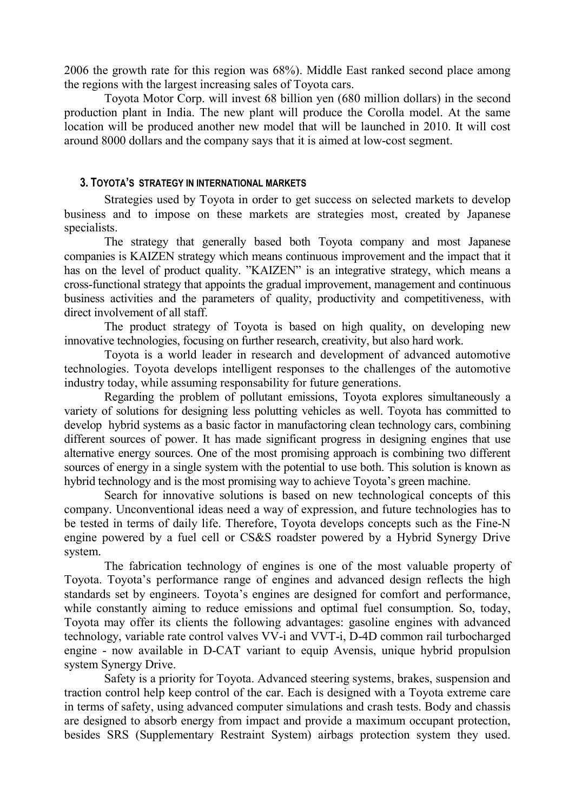2006 the growth rate for this region was 68%). Middle East ranked second place among the regions with the largest increasing sales of Toyota cars.

Toyota Motor Corp. will invest 68 billion yen (680 million dollars) in the second production plant in India. The new plant will produce the Corolla model. At the same location will be produced another new model that will be launched in 2010. It will cost around 8000 dollars and the company says that it is aimed at low-cost segment.

#### **3. TOYOTA'S STRATEGY IN INTERNATIONAL MARKETS**

Strategies used by Toyota in order to get success on selected markets to develop business and to impose on these markets are strategies most, created by Japanese specialists.

The strategy that generally based both Toyota company and most Japanese companies is KAIZEN strategy which means continuous improvement and the impact that it has on the level of product quality. "KAIZEN" is an integrative strategy, which means a cross-functional strategy that appoints the gradual improvement, management and continuous business activities and the parameters of quality, productivity and competitiveness, with direct involvement of all staff.

The product strategy of Toyota is based on high quality, on developing new innovative technologies, focusing on further research, creativity, but also hard work.

Toyota is a world leader in research and development of advanced automotive technologies. Toyota develops intelligent responses to the challenges of the automotive industry today, while assuming responsability for future generations.

Regarding the problem of pollutant emissions, Toyota explores simultaneously a variety of solutions for designing less polutting vehicles as well. Toyota has committed to develop hybrid systems as a basic factor in manufactoring clean technology cars, combining different sources of power. It has made significant progress in designing engines that use alternative energy sources. One of the most promising approach is combining two different sources of energy in a single system with the potential to use both. This solution is known as hybrid technology and is the most promising way to achieve Toyota's green machine.

Search for innovative solutions is based on new technological concepts of this company. Unconventional ideas need a way of expression, and future technologies has to be tested in terms of daily life. Therefore, Toyota develops concepts such as the Fine-N engine powered by a fuel cell or CS&S roadster powered by a Hybrid Synergy Drive system.

The fabrication technology of engines is one of the most valuable property of Toyota. Toyota's performance range of engines and advanced design reflects the high standards set by engineers. Toyota's engines are designed for comfort and performance, while constantly aiming to reduce emissions and optimal fuel consumption. So, today, Toyota may offer its clients the following advantages: gasoline engines with advanced technology, variable rate control valves VV-i and VVT-i, D-4D common rail turbocharged engine - now available in D-CAT variant to equip Avensis, unique hybrid propulsion system Synergy Drive.

Safety is a priority for Toyota. Advanced steering systems, brakes, suspension and traction control help keep control of the car. Each is designed with a Toyota extreme care in terms of safety, using advanced computer simulations and crash tests. Body and chassis are designed to absorb energy from impact and provide a maximum occupant protection, besides SRS (Supplementary Restraint System) airbags protection system they used.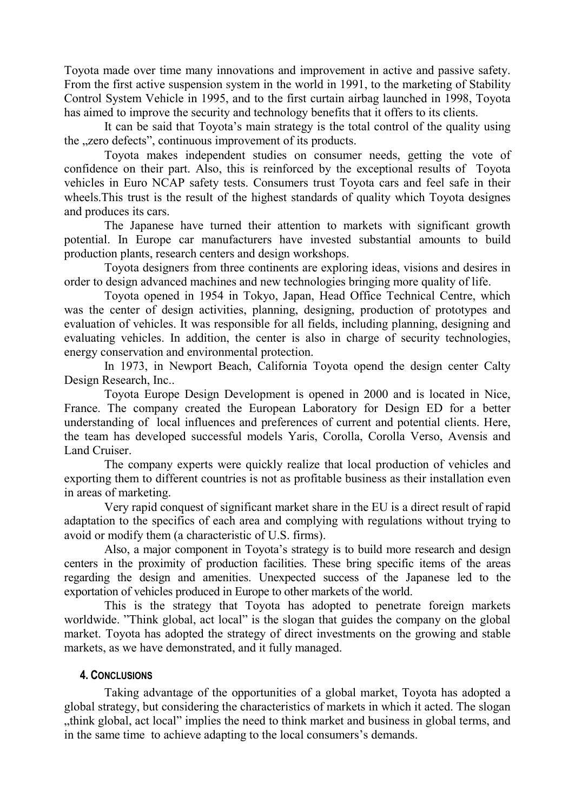Toyota made over time many innovations and improvement in active and passive safety. From the first active suspension system in the world in 1991, to the marketing of Stability Control System Vehicle in 1995, and to the first curtain airbag launched in 1998, Toyota has aimed to improve the security and technology benefits that it offers to its clients.

It can be said that Toyota's main strategy is the total control of the quality using the "zero defects", continuous improvement of its products.

Toyota makes independent studies on consumer needs, getting the vote of confidence on their part. Also, this is reinforced by the exceptional results of Toyota vehicles in Euro NCAP safety tests. Consumers trust Toyota cars and feel safe in their wheels.This trust is the result of the highest standards of quality which Toyota designes and produces its cars.

The Japanese have turned their attention to markets with significant growth potential. In Europe car manufacturers have invested substantial amounts to build production plants, research centers and design workshops.

Toyota designers from three continents are exploring ideas, visions and desires in order to design advanced machines and new technologies bringing more quality of life.

Toyota opened in 1954 in Tokyo, Japan, Head Office Technical Centre, which was the center of design activities, planning, designing, production of prototypes and evaluation of vehicles. It was responsible for all fields, including planning, designing and evaluating vehicles. In addition, the center is also in charge of security technologies, energy conservation and environmental protection.

In 1973, in Newport Beach, California Toyota opend the design center Calty Design Research, Inc..

Toyota Europe Design Development is opened in 2000 and is located in Nice, France. The company created the European Laboratory for Design ED for a better understanding of local influences and preferences of current and potential clients. Here, the team has developed successful models Yaris, Corolla, Corolla Verso, Avensis and Land Cruiser.

The company experts were quickly realize that local production of vehicles and exporting them to different countries is not as profitable business as their installation even in areas of marketing.

Very rapid conquest of significant market share in the EU is a direct result of rapid adaptation to the specifics of each area and complying with regulations without trying to avoid or modify them (a characteristic of U.S. firms).

Also, a major component in Toyota's strategy is to build more research and design centers in the proximity of production facilities. These bring specific items of the areas regarding the design and amenities. Unexpected success of the Japanese led to the exportation of vehicles produced in Europe to other markets of the world.

This is the strategy that Toyota has adopted to penetrate foreign markets worldwide. "Think global, act local" is the slogan that guides the company on the global market. Toyota has adopted the strategy of direct investments on the growing and stable markets, as we have demonstrated, and it fully managed.

## **4. CONCLUSIONS**

Taking advantage of the opportunities of a global market, Toyota has adopted a global strategy, but considering the characteristics of markets in which it acted. The slogan "think global, act local" implies the need to think market and business in global terms, and in the same time to achieve adapting to the local consumers's demands.